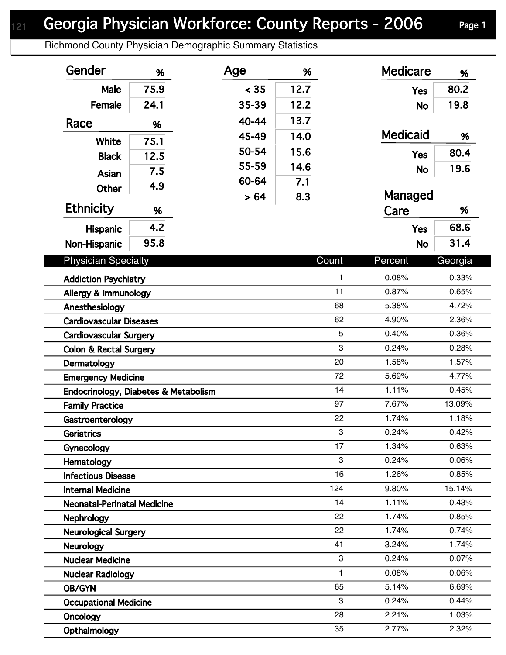## Georgia Physician Workforce: County Reports - 2006 Page 1

Richmond County Physician Demographic Summary Statistics

| Gender                               | %    | Age   | %    |              | <b>Medicare</b> | %       |
|--------------------------------------|------|-------|------|--------------|-----------------|---------|
| Male                                 | 75.9 | < 35  | 12.7 |              | <b>Yes</b>      | 80.2    |
| Female                               | 24.1 | 35-39 | 12.2 |              | <b>No</b>       | 19.8    |
| Race                                 |      | 40-44 | 13.7 |              |                 |         |
|                                      | %    | 45-49 | 14.0 |              | <b>Medicaid</b> | %       |
| <b>White</b>                         | 75.1 | 50-54 | 15.6 |              |                 | 80.4    |
| <b>Black</b>                         | 12.5 | 55-59 | 14.6 |              | <b>Yes</b>      |         |
| <b>Asian</b>                         | 7.5  | 60-64 | 7.1  |              | <b>No</b>       | 19.6    |
| <b>Other</b>                         | 4.9  | > 64  | 8.3  |              | Managed         |         |
| <b>Ethnicity</b>                     | %    |       |      |              | Care            | %       |
| Hispanic                             | 4.2  |       |      |              | <b>Yes</b>      | 68.6    |
| Non-Hispanic                         | 95.8 |       |      |              | <b>No</b>       | 31.4    |
|                                      |      |       |      |              |                 |         |
| <b>Physician Specialty</b>           |      |       |      | Count        | Percent         | Georgia |
| <b>Addiction Psychiatry</b>          |      |       |      | $\mathbf{1}$ | 0.08%           | 0.33%   |
| Allergy & Immunology                 |      |       |      | 11           | 0.87%           | 0.65%   |
| Anesthesiology                       |      |       |      | 68           | 5.38%           | 4.72%   |
| <b>Cardiovascular Diseases</b>       |      |       |      | 62           | 4.90%           | 2.36%   |
| <b>Cardiovascular Surgery</b>        |      |       |      | 5            | 0.40%           | 0.36%   |
| <b>Colon &amp; Rectal Surgery</b>    |      |       |      | 3            | 0.24%           | 0.28%   |
| Dermatology                          |      |       |      | 20           | 1.58%           | 1.57%   |
| <b>Emergency Medicine</b>            |      |       |      | 72           | 5.69%           | 4.77%   |
| Endocrinology, Diabetes & Metabolism |      |       |      | 14           | 1.11%           | 0.45%   |
| <b>Family Practice</b>               |      |       |      | 97           | 7.67%           | 13.09%  |
| Gastroenterology                     |      |       |      | 22           | 1.74%           | 1.18%   |
| Geriatrics                           |      |       |      | 3            | 0.24%           | 0.42%   |
| Gynecology                           |      |       |      | 17           | 1.34%           | 0.63%   |
| Hematology                           |      |       |      | 3            | 0.24%           | 0.06%   |
| <b>Infectious Disease</b>            |      |       |      | 16           | 1.26%           | 0.85%   |
| <b>Internal Medicine</b>             |      |       |      | 124          | 9.80%           | 15.14%  |
| <b>Neonatal-Perinatal Medicine</b>   |      |       |      | 14           | 1.11%           | 0.43%   |
| <b>Nephrology</b>                    |      |       |      | 22           | 1.74%           | 0.85%   |
| <b>Neurological Surgery</b>          |      |       |      | 22           | 1.74%           | 0.74%   |
| <b>Neurology</b>                     |      |       |      | 41           | 3.24%           | 1.74%   |
| <b>Nuclear Medicine</b>              |      |       |      | 3            | 0.24%           | 0.07%   |
| <b>Nuclear Radiology</b>             |      |       |      | $\mathbf{1}$ | 0.08%           | 0.06%   |
| OB/GYN                               |      |       |      | 65           | 5.14%           | 6.69%   |
| <b>Occupational Medicine</b>         |      |       |      | 3            | 0.24%           | 0.44%   |
| <b>Oncology</b>                      |      |       |      | 28           | 2.21%           | 1.03%   |
| Opthalmology                         |      |       |      | 35           | 2.77%           | 2.32%   |